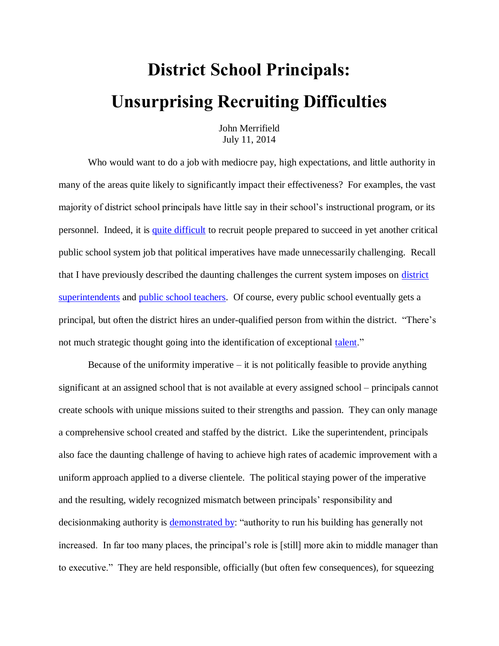## **District School Principals: Unsurprising Recruiting Difficulties**

John Merrifield July 11, 2014

Who would want to do a job with mediocre pay, high expectations, and little authority in many of the areas quite likely to significantly impact their effectiveness? For examples, the vast majority of district school principals have little say in their school's instructional program, or its personnel. Indeed, it is [quite difficult](http://edexcellence.net/articles/lacking-leaders-the-challenges-of-principal-recruitment-selection-and-placement) to recruit people prepared to succeed in yet another critical public school system job that political imperatives have made unnecessarily challenging. Recall that I have previously described the daunting challenges the current system imposes on [district](http://www.schoolsystemreformstudies.net/wp-content/uploads/2016/11/School-District-Superintendent.pdf)  [superintendents](http://www.schoolsystemreformstudies.net/wp-content/uploads/2016/11/School-District-Superintendent.pdf) and [public school teachers.](http://www.schoolsystemreformstudies.net/wp-content/uploads/2016/10/How-to-Improve-Instruction.pdf) Of course, every public school eventually gets a principal, but often the district hires an under-qualified person from within the district. "There's not much strategic thought going into the identification of exceptional [talent.](http://edexcellence.net/articles/lacking-leaders-the-challenges-of-principal-recruitment-selection-and-placement)"

Because of the uniformity imperative  $-\text{ it is not potentially feasible to provide anything}$ significant at an assigned school that is not available at every assigned school – principals cannot create schools with unique missions suited to their strengths and passion. They can only manage a comprehensive school created and staffed by the district. Like the superintendent, principals also face the daunting challenge of having to achieve high rates of academic improvement with a uniform approach applied to a diverse clientele. The political staying power of the imperative and the resulting, widely recognized mismatch between principals' responsibility and decisionmaking authority is [demonstrated by:](http://edexcellence.net/articles/lacking-leaders-the-challenges-of-principal-recruitment-selection-and-placement) "authority to run his building has generally not increased. In far too many places, the principal's role is [still] more akin to middle manager than to executive." They are held responsible, officially (but often few consequences), for squeezing